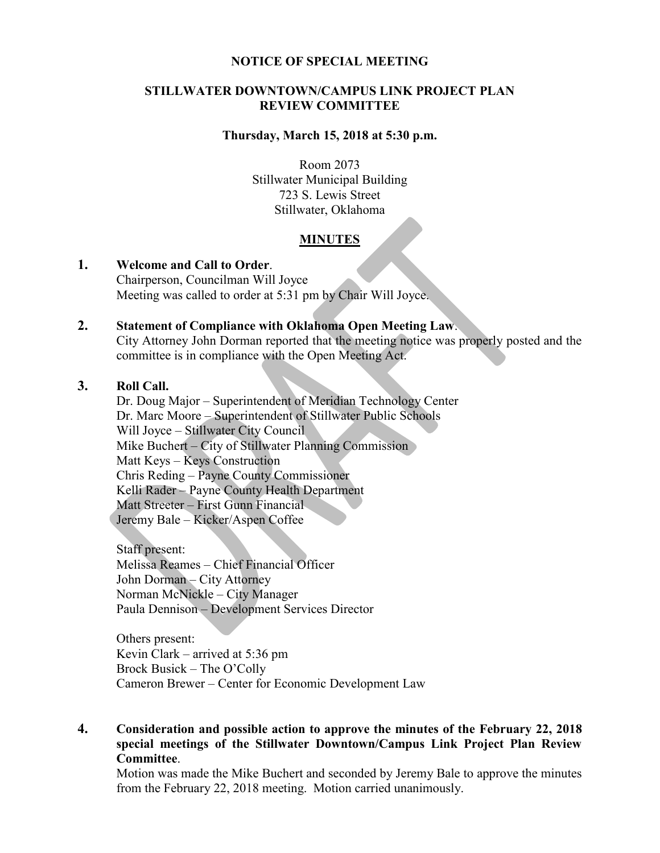#### **NOTICE OF SPECIAL MEETING**

#### **STILLWATER DOWNTOWN/CAMPUS LINK PROJECT PLAN REVIEW COMMITTEE**

#### **Thursday, March 15, 2018 at 5:30 p.m.**

Room 2073 Stillwater Municipal Building 723 S. Lewis Street Stillwater, Oklahoma

### **MINUTES**

#### **1. Welcome and Call to Order**. Chairperson, Councilman Will Joyce Meeting was called to order at 5:31 pm by Chair Will Joyce.

# **2. Statement of Compliance with Oklahoma Open Meeting Law**.

City Attorney John Dorman reported that the meeting notice was properly posted and the committee is in compliance with the Open Meeting Act.

## **3. Roll Call.**

Dr. Doug Major – Superintendent of Meridian Technology Center Dr. Marc Moore – Superintendent of Stillwater Public Schools Will Joyce – Stillwater City Council Mike Buchert – City of Stillwater Planning Commission Matt Keys – Keys Construction Chris Reding – Payne County Commissioner Kelli Rader – Payne County Health Department Matt Streeter – First Gunn Financial Jeremy Bale – Kicker/Aspen Coffee

Staff present: Melissa Reames – Chief Financial Officer John Dorman – City Attorney Norman McNickle – City Manager Paula Dennison – Development Services Director

Others present: Kevin Clark – arrived at 5:36 pm Brock Busick – The O'Colly Cameron Brewer – Center for Economic Development Law

## **4. Consideration and possible action to approve the minutes of the February 22, 2018 special meetings of the Stillwater Downtown/Campus Link Project Plan Review Committee**.

Motion was made the Mike Buchert and seconded by Jeremy Bale to approve the minutes from the February 22, 2018 meeting. Motion carried unanimously.